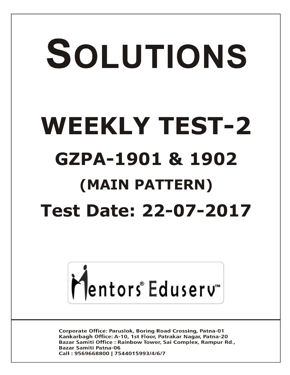# SOLUTIONS **WEEKLY TEST-2 GZPA-1901 & 1902 (MAIN PATTERN) Test Date: 22-07-2017**



**Corporate Office: Paruslok, Boring Road Crossing, Patna-01** Kankarbagh Office: A-10, 1st Floor, Patrakar Nagar, Patna-20 Bazar Samiti Office: Rainbow Tower, Sai Complex, Rampur Rd., **Bazar Samiti Patna-06** Call: 9569668800 | 7544015993/4/6/7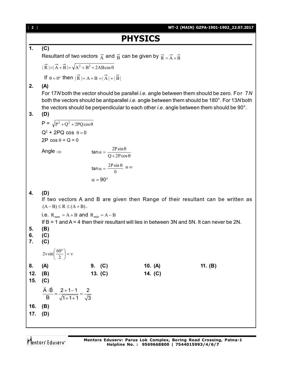| <b>PHYSICS</b><br>1.<br>(C)<br>Resultant of two vectors $\vec{A}$ and $\vec{B}$ can be given by $\vec{R} = \vec{A} + \vec{B}$<br>$ \vec{R} = \vec{A}+\vec{B} =\sqrt{A^2+B^2+2AB\cos\theta}$<br>If $\theta = 0^{\circ}$ then $ \vec{R}  = A + B =  \vec{A}  +  \vec{B} $<br>2.<br>(A)<br>For 17N both the vector should be parallel <i>i.e.</i> angle between them should be zero. For 7N<br>both the vectors should be antiparallel <i>i.e.</i> angle between them should be 180°. For 13N both<br>the vectors should be perpendicular to each other <i>i.e.</i> angle between them should be 90°.<br>3.<br>(D)<br>$P = \sqrt{P^2 + Q^2 + 2PQ\cos\theta}$<br>$Q^2$ + 2PQ cos $\theta = 0$<br>$2P \cos \theta + Q = 0$<br>$\tan \alpha = \frac{2P\sin\theta}{Q+2P\cos\theta}$<br>Angle $\Rightarrow$<br>$\tan \alpha = \frac{2P\sin\theta}{0} = \infty$<br>$\alpha = 90^{\circ}$<br>(D)<br>4.<br>If two vectors A and B are given then Range of their resultant can be written as |  |
|----------------------------------------------------------------------------------------------------------------------------------------------------------------------------------------------------------------------------------------------------------------------------------------------------------------------------------------------------------------------------------------------------------------------------------------------------------------------------------------------------------------------------------------------------------------------------------------------------------------------------------------------------------------------------------------------------------------------------------------------------------------------------------------------------------------------------------------------------------------------------------------------------------------------------------------------------------------------------------|--|
|                                                                                                                                                                                                                                                                                                                                                                                                                                                                                                                                                                                                                                                                                                                                                                                                                                                                                                                                                                                  |  |
|                                                                                                                                                                                                                                                                                                                                                                                                                                                                                                                                                                                                                                                                                                                                                                                                                                                                                                                                                                                  |  |
|                                                                                                                                                                                                                                                                                                                                                                                                                                                                                                                                                                                                                                                                                                                                                                                                                                                                                                                                                                                  |  |
|                                                                                                                                                                                                                                                                                                                                                                                                                                                                                                                                                                                                                                                                                                                                                                                                                                                                                                                                                                                  |  |
|                                                                                                                                                                                                                                                                                                                                                                                                                                                                                                                                                                                                                                                                                                                                                                                                                                                                                                                                                                                  |  |
|                                                                                                                                                                                                                                                                                                                                                                                                                                                                                                                                                                                                                                                                                                                                                                                                                                                                                                                                                                                  |  |
|                                                                                                                                                                                                                                                                                                                                                                                                                                                                                                                                                                                                                                                                                                                                                                                                                                                                                                                                                                                  |  |
|                                                                                                                                                                                                                                                                                                                                                                                                                                                                                                                                                                                                                                                                                                                                                                                                                                                                                                                                                                                  |  |
|                                                                                                                                                                                                                                                                                                                                                                                                                                                                                                                                                                                                                                                                                                                                                                                                                                                                                                                                                                                  |  |
|                                                                                                                                                                                                                                                                                                                                                                                                                                                                                                                                                                                                                                                                                                                                                                                                                                                                                                                                                                                  |  |
|                                                                                                                                                                                                                                                                                                                                                                                                                                                                                                                                                                                                                                                                                                                                                                                                                                                                                                                                                                                  |  |
|                                                                                                                                                                                                                                                                                                                                                                                                                                                                                                                                                                                                                                                                                                                                                                                                                                                                                                                                                                                  |  |
|                                                                                                                                                                                                                                                                                                                                                                                                                                                                                                                                                                                                                                                                                                                                                                                                                                                                                                                                                                                  |  |
|                                                                                                                                                                                                                                                                                                                                                                                                                                                                                                                                                                                                                                                                                                                                                                                                                                                                                                                                                                                  |  |
| $(A - B) \le R \le (A + B)$ .                                                                                                                                                                                                                                                                                                                                                                                                                                                                                                                                                                                                                                                                                                                                                                                                                                                                                                                                                    |  |
| i.e. $R_{max} = A + B$ and $R_{min} = A - B$<br>If $B = 1$ and $A = 4$ then their resultant will lies in between 3N and 5N. It can never be 2N.                                                                                                                                                                                                                                                                                                                                                                                                                                                                                                                                                                                                                                                                                                                                                                                                                                  |  |
| 5.<br>(B)<br>6.<br>(C)                                                                                                                                                                                                                                                                                                                                                                                                                                                                                                                                                                                                                                                                                                                                                                                                                                                                                                                                                           |  |
| 7.<br>(C)                                                                                                                                                                                                                                                                                                                                                                                                                                                                                                                                                                                                                                                                                                                                                                                                                                                                                                                                                                        |  |
| $2v\sin\left(\frac{60^{\circ}}{2}\right) = v$                                                                                                                                                                                                                                                                                                                                                                                                                                                                                                                                                                                                                                                                                                                                                                                                                                                                                                                                    |  |
| 9. $(C)$<br>10. (A)<br>11. $(B)$<br>8.<br>(A)                                                                                                                                                                                                                                                                                                                                                                                                                                                                                                                                                                                                                                                                                                                                                                                                                                                                                                                                    |  |
| 12.<br>(B)<br>13. $(C)$<br>14. (C)                                                                                                                                                                                                                                                                                                                                                                                                                                                                                                                                                                                                                                                                                                                                                                                                                                                                                                                                               |  |
| 15.<br>(C)                                                                                                                                                                                                                                                                                                                                                                                                                                                                                                                                                                                                                                                                                                                                                                                                                                                                                                                                                                       |  |
| $rac{\vec{A} \cdot \vec{B}}{B} = \frac{2+1-1}{\sqrt{1+1+1}} = \frac{2}{\sqrt{3}}$                                                                                                                                                                                                                                                                                                                                                                                                                                                                                                                                                                                                                                                                                                                                                                                                                                                                                                |  |
| 16.<br>(B)                                                                                                                                                                                                                                                                                                                                                                                                                                                                                                                                                                                                                                                                                                                                                                                                                                                                                                                                                                       |  |
| 17.<br>(D)                                                                                                                                                                                                                                                                                                                                                                                                                                                                                                                                                                                                                                                                                                                                                                                                                                                                                                                                                                       |  |
|                                                                                                                                                                                                                                                                                                                                                                                                                                                                                                                                                                                                                                                                                                                                                                                                                                                                                                                                                                                  |  |

Mentors<sup>e</sup> Eduserv<sup>-</sup>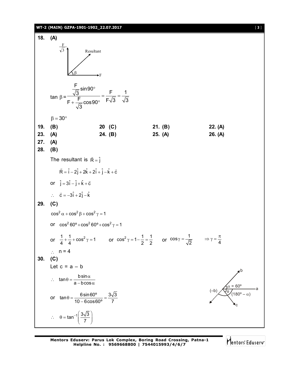

Mentors Eduserv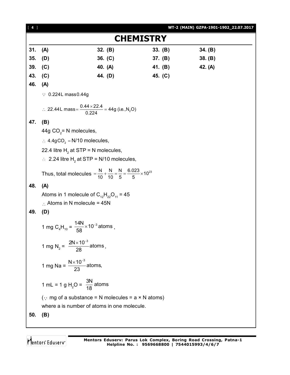| $[4]$ |                                                                                                      |         |                  |         | WT-2 (MAIN) GZPA-1901-1902_22.07.2017 |
|-------|------------------------------------------------------------------------------------------------------|---------|------------------|---------|---------------------------------------|
|       |                                                                                                      |         | <b>CHEMISTRY</b> |         |                                       |
| 31.   | (A)                                                                                                  | 32. (B) |                  | 33. (B) | 34. (B)                               |
| 35.   | (D)                                                                                                  | 36. (C) |                  | 37. (B) | 38. (B)                               |
| 39.   | (C)                                                                                                  | 40. (A) |                  | 41. (B) | 42. (A)                               |
| 43.   | (C)                                                                                                  | 44. (D) |                  | 45. (C) |                                       |
| 46.   | (A)                                                                                                  |         |                  |         |                                       |
|       | $\therefore$ 0.224L mass 0.44g                                                                       |         |                  |         |                                       |
|       | ∴ 22.44L mass = $\frac{0.44 \times 22.4}{0.224}$ = 44g (i.e.,N <sub>2</sub> O)                       |         |                  |         |                                       |
| 47.   | (B)                                                                                                  |         |                  |         |                                       |
|       | 44g $CO2$ = N molecules,                                                                             |         |                  |         |                                       |
|       | $\therefore$ 4.4gCO <sub>2</sub> = N/10 molecules,                                                   |         |                  |         |                                       |
|       | 22.4 litre $H_2$ at STP = N molecules,                                                               |         |                  |         |                                       |
|       | $\therefore$ 2.24 litre H <sub>2</sub> at STP = N/10 molecules,                                      |         |                  |         |                                       |
|       | Thus, total molecules = $\frac{N}{10} + \frac{N}{10} = \frac{N}{5} = \frac{6.023}{5} \times 10^{23}$ |         |                  |         |                                       |
| 48.   | (A)                                                                                                  |         |                  |         |                                       |
|       | Atoms in 1 molecule of $C_{12}H_{22}O_{11} = 45$                                                     |         |                  |         |                                       |
|       | $\therefore$ Atoms in N molecule = 45N                                                               |         |                  |         |                                       |
| 49.   | (D)                                                                                                  |         |                  |         |                                       |
|       | 1 mg C <sub>4</sub> H <sub>10</sub> = $\frac{14N}{58} \times 10^{-3}$ atoms,                         |         |                  |         |                                       |
|       | 1 mg N <sub>2</sub> = $\frac{2N \times 10^{-3}}{28}$ atoms,                                          |         |                  |         |                                       |
|       | 1 mg Na = $\frac{N \times 10^{-3}}{23}$ atoms,                                                       |         |                  |         |                                       |
|       | 1 mL = 1 g H <sub>2</sub> O = $\frac{3N}{18}$ atoms                                                  |         |                  |         |                                       |
|       | $\cdots$ mg of a substance = N molecules = a $\times$ N atoms)                                       |         |                  |         |                                       |
|       | where a is number of atoms in one molecule.                                                          |         |                  |         |                                       |
| 50.   | (B)                                                                                                  |         |                  |         |                                       |
|       |                                                                                                      |         |                  |         |                                       |

Mentors<sup>®</sup> Eduserv<sup>®</sup>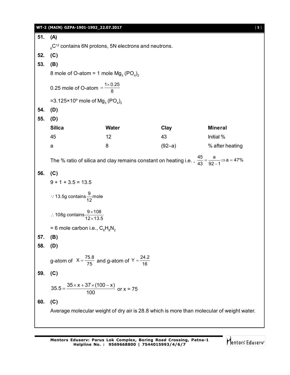|     | WT-2 (MAIN) GZPA-1901-1902_22.07.2017                                          |                                                                                |                                                                                                                        |                                                                                           | $[5]$ |  |  |
|-----|--------------------------------------------------------------------------------|--------------------------------------------------------------------------------|------------------------------------------------------------------------------------------------------------------------|-------------------------------------------------------------------------------------------|-------|--|--|
| 51. | (A)                                                                            |                                                                                |                                                                                                                        |                                                                                           |       |  |  |
|     |                                                                                | $_{6}^{\circ}$ C <sup>12</sup> contains 6N protons, 5N electrons and neutrons. |                                                                                                                        |                                                                                           |       |  |  |
| 52. | (C)                                                                            |                                                                                |                                                                                                                        |                                                                                           |       |  |  |
| 53. | (B)                                                                            |                                                                                |                                                                                                                        |                                                                                           |       |  |  |
|     |                                                                                | 8 mole of O-atom = 1 mole $Mg_3 (PO_4)_2$                                      |                                                                                                                        |                                                                                           |       |  |  |
|     | 0.25 mole of O-atom = $\frac{1 \times 0.25}{8}$                                |                                                                                |                                                                                                                        |                                                                                           |       |  |  |
|     | =3.125×10 <sup>b</sup> mole of Mg <sub>3</sub> (PO <sub>4</sub> ) <sub>2</sub> |                                                                                |                                                                                                                        |                                                                                           |       |  |  |
| 54. | (D)                                                                            |                                                                                |                                                                                                                        |                                                                                           |       |  |  |
| 55. | (D)                                                                            |                                                                                |                                                                                                                        |                                                                                           |       |  |  |
|     | <b>Silica</b>                                                                  | Water                                                                          | Clay                                                                                                                   | <b>Mineral</b>                                                                            |       |  |  |
|     | 45                                                                             | 12                                                                             | 43                                                                                                                     | Initial %                                                                                 |       |  |  |
|     | a                                                                              | 8                                                                              | $(92-a)$                                                                                                               | % after heating                                                                           |       |  |  |
|     |                                                                                |                                                                                | The % ratio of silica and clay remains constant on heating i.e., $\frac{45}{43} = \frac{a}{92-1} \Rightarrow a = 47\%$ |                                                                                           |       |  |  |
| 56. | (C)                                                                            |                                                                                |                                                                                                                        |                                                                                           |       |  |  |
|     | $9 + 1 + 3.5 = 13.5$                                                           |                                                                                |                                                                                                                        |                                                                                           |       |  |  |
|     | $\therefore$ 13.5g contains $\frac{9}{12}$ mole                                |                                                                                |                                                                                                                        |                                                                                           |       |  |  |
|     | ∴ 108g contains $\frac{9 \times 108}{12 \times 13.5}$                          |                                                                                |                                                                                                                        |                                                                                           |       |  |  |
|     | = 6 mole carbon i.e., $C_6H_8N_2$                                              |                                                                                |                                                                                                                        |                                                                                           |       |  |  |
| 57. | (B)                                                                            |                                                                                |                                                                                                                        |                                                                                           |       |  |  |
| 58. | (D)                                                                            |                                                                                |                                                                                                                        |                                                                                           |       |  |  |
|     |                                                                                | g-atom of $X = \frac{75.8}{75}$ and g-atom of Y = $\frac{24.2}{16}$            |                                                                                                                        |                                                                                           |       |  |  |
| 59. | (C)                                                                            |                                                                                |                                                                                                                        |                                                                                           |       |  |  |
|     |                                                                                | $35.5 = {35 \times x + 37 \times (100 - x) \over 100}$ or x = 75               |                                                                                                                        |                                                                                           |       |  |  |
| 60. | (C)                                                                            |                                                                                |                                                                                                                        |                                                                                           |       |  |  |
|     |                                                                                |                                                                                |                                                                                                                        | Average molecular weight of dry air is 28.8 which is more than molecular of weight water. |       |  |  |
|     |                                                                                |                                                                                |                                                                                                                        |                                                                                           |       |  |  |
|     |                                                                                |                                                                                |                                                                                                                        |                                                                                           |       |  |  |

Mentors<sup>e</sup> Eduserv<sup>-</sup>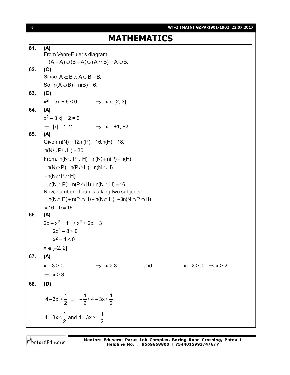[ **6** ] **WT-2 (MAIN) GZPA-1901-1902\_22.07.2017 MATHEMATICS 61. (A)** From Venn-Euler's diagram,  $(A - A) \cup (B - A) \cup (A \cap B) = A \cup B$ . **62. (C)** Since  $A \subset B$ ,  $A \cup B = B$ . So,  $n(A \cup B) = n(B) = 6$ . **63. (C)**  $x^2 - 5x + 6 \le 0$   $\Rightarrow x \in [2, 3]$ **64. (A)**  $x^2 - 3|x| + 2 = 0$  $\Rightarrow$   $|x| = 1, 2$   $\Rightarrow$   $x = \pm 1, \pm 2.$ **65. (A)** Given  $n(N) = 12, n(P) = 16, n(H) = 18$ ,  $n(N \cup P \cup H) = 30$ From,  $n(N \cup P \cup H) = n(N) + n(P) + n(H)$  $-n(N \cap P) - n(P \cap H) - n(N \cap H)$  $+n(N \cap P \cap H)$  $\therefore$  n(N  $\cap$  P) + n(P  $\cap$  H) + n(N  $\cap$  H) = 16 Now, number of pupils taking two subjects  $n(N \cap P) + n(P \cap H) + n(N \cap H) - 3n(N \cap P \cap H)$  $= 16 - 0 = 16.$ **66. (A)**  $2x - x^2 + 11 \ge x^2 + 2x + 3$  $2x^2 - 8 \le 0$  $x^2 - 4 \le 0$  $x \in [-2, 2]$ **67. (A)**  $x-3>0$   $\Rightarrow$   $x>3$  and  $x-2>0$   $\Rightarrow$   $x>2$  $\Rightarrow$  x > 3 **68. (D)**  $4 - 3x \leq \frac{1}{2}$ 2  $-3x\leq \frac{1}{2} \Rightarrow -\frac{1}{2} \leq 4-3x \leq \frac{1}{2}$ 2 2  $\Rightarrow -\frac{1}{2} \leq 4 - 3x \leq 4 - 3x \leq \frac{1}{2}$  and  $4 - 3x \geq -\frac{1}{2}$ 2 2  $-3x \leq \frac{1}{2}$  and 4  $-3x \geq -\frac{1}{2}$ 

Mentors Eduserv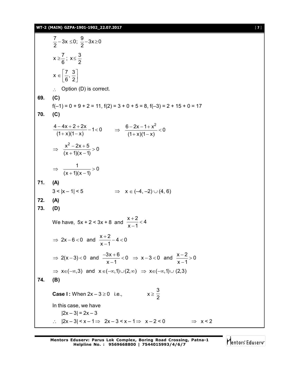#### **WT-2 (MAIN) GZPA-1901-1902\_22.07.2017** [ **7** ]

|     | $\frac{7}{2}$ – 3x $\leq$ 0; $\frac{9}{2}$ – 3x $\geq$ 0                                                                    |
|-----|-----------------------------------------------------------------------------------------------------------------------------|
|     | $x \geq \frac{7}{6}$ ; $x \leq \frac{3}{2}$                                                                                 |
|     | $x \in \left[\frac{7}{6}, \frac{3}{2}\right]$                                                                               |
|     | $\therefore$ Option (D) is correct.                                                                                         |
| 69. | (C)                                                                                                                         |
|     | $f(-1) = 0 + 9 + 2 = 11$ , $f(2) = 3 + 0 + 5 = 8$ , $f(-3) = 2 + 15 + 0 = 17$                                               |
| 70. | (C)                                                                                                                         |
|     | $\frac{4-4x+2+2x}{(1+x)(1-x)}-1<0 \qquad \Rightarrow \quad \frac{6-2x-1+x^2}{(1+x)(1-x)}<0$                                 |
|     | $\Rightarrow \frac{x^2-2x+5}{(x+1)(x-1)}>0$                                                                                 |
|     | $\Rightarrow \frac{1}{(x+1)(x-1)}>0$                                                                                        |
| 71. | (A)                                                                                                                         |
|     | $3 <  x - 1  < 5$<br>$\Rightarrow$ $x \in (-4, -2) \cup (4, 6)$                                                             |
| 72. | (A)                                                                                                                         |
| 73. | (D)                                                                                                                         |
|     | We have, $5x + 2 < 3x + 8$ and $\frac{x+2}{x-1} < 4$                                                                        |
|     | $\Rightarrow$ 2x-6<0 and $\frac{x+2}{x-1}$ -4<0                                                                             |
|     | ⇒ 2(x-3)<0 and $\frac{-3x+6}{x-1}$ <0 ⇒ x-3 <0 and $\frac{x-2}{x-1}$ > 0                                                    |
|     | $\Rightarrow$ x $\in (-\infty, 3)$ and x $\in (-\infty, 1) \cup (2, \infty)$ $\Rightarrow$ x $\in (-\infty, 1) \cup (2, 3)$ |
| 74. | (B)                                                                                                                         |
|     | $x \geq \frac{3}{2}$<br><b>Case I:</b> When $2x - 3 \ge 0$ i.e.,                                                            |
|     | In this case, we have                                                                                                       |
|     | $ 2x - 3  = 2x - 3$                                                                                                         |
|     | $\therefore$  2x-3  < x - 1 $\Rightarrow$ 2x - 3 < x - 1 $\Rightarrow$ x - 2 < 0<br>$\Rightarrow$ x < 2                     |

Mentors<sup>e</sup> Eduserv<sup>-</sup>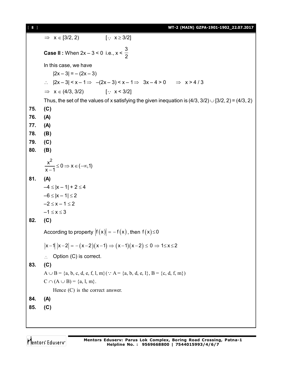[ **8** ] **WT-2 (MAIN) GZPA-1901-1902\_22.07.2017**

 $\Rightarrow$   $x \in [3/2, 2)$  [:  $x \ge 3/2$ ] **Case II :** When 2x – 3 < 0 i.e., x < 3 2 In this case, we have  $|2x - 3| = -(2x - 3)$  $\therefore$   $|2x-3| < x-1 \Rightarrow -(2x-3) < x-1 \Rightarrow 3x-4 > 0 \Rightarrow x > 4/3$  $\Rightarrow$   $x \in (4/3, 3/2)$  [  $\therefore$   $x < 3/2$ ] Thus, the set of the values of x satisfying the given inequation is  $(4/3, 3/2) \cup [3/2, 2) = (4/3, 2)$ **75. (C) 76. (A) 77. (A) 78. (B) 79. (C) 80. (B)**  $\frac{x^2}{1} \leq 0 \Rightarrow x \in (-\infty, 1)$  $x - 1$  $\le$  0  $\Rightarrow$  x  $\in$  ( $-\infty$  $\overline{\phantom{0}}$ **81. (A)**  $-4 \le |x - 1| + 2 \le 4$  $-6 \le |x - 1| \le 2$  $-2 \leq x - 1 \leq 2$  $-1 \le x \le 3$ **82. (C)** According to property  $|f(x)| = -f(x)$ , then  $f(x) \le 0$  $|x-1| |x-2| = -(x-2)(x-1) \Rightarrow (x-1)(x-2) \le 0 \Rightarrow 1 \le x \le 2$  $\therefore$  Option (C) is correct. **83. (C)**  $A \cup B = \{a, b, c, d, e, f, l, m\}$  (  $\because A = \{a, b, d, e, l\}$ ,  $B = \{c, d, f, m\}$ )  $C \cap (A \cup B) = \{a, 1, m\}.$ Hence (C) is the correct answer. **84. (A) 85. (C)**

Mentors Eduserv